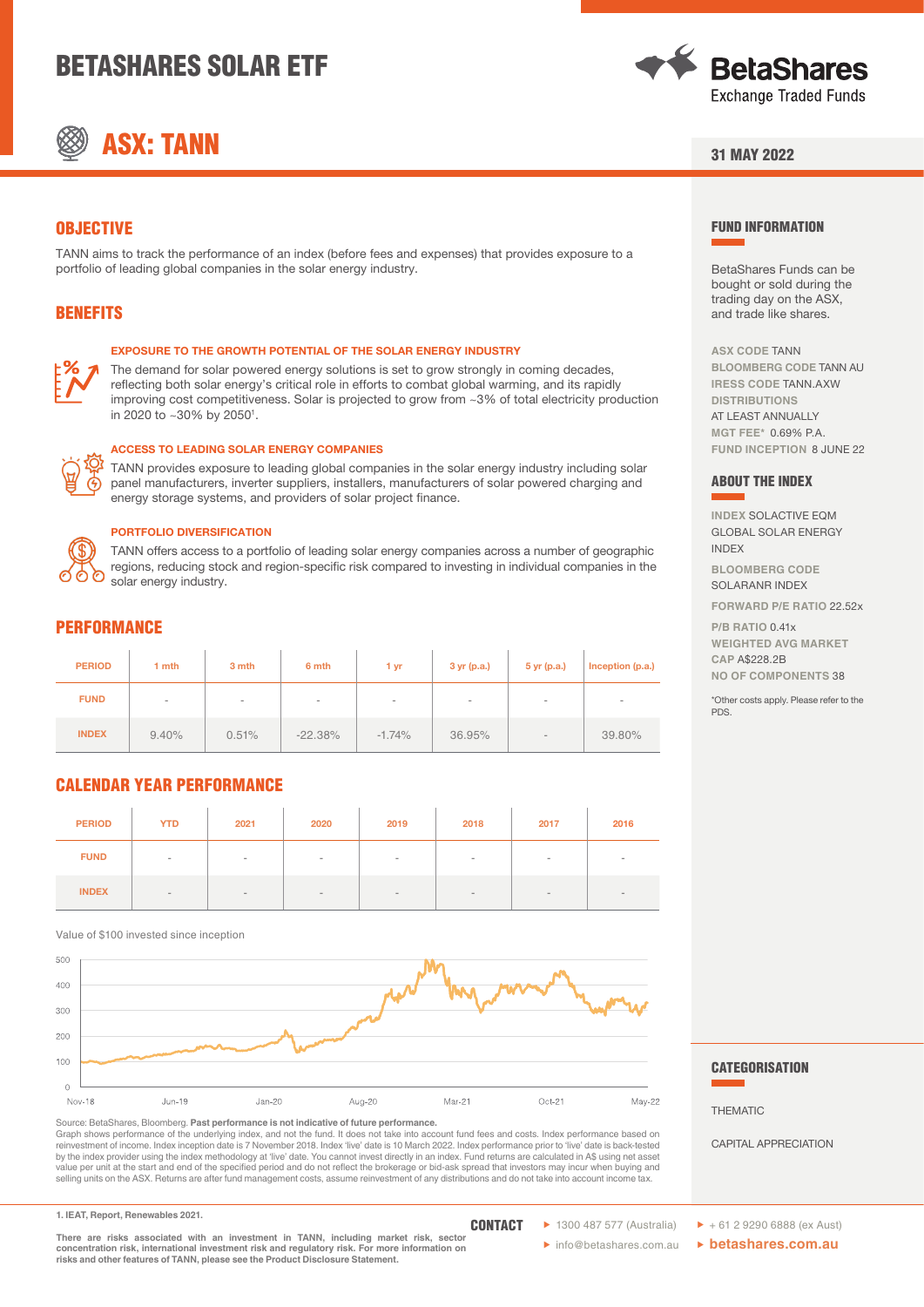# BETASHARES SOLAR ETF





### 31 MAY 2022

# **OBJECTIVE**

TANN aims to track the performance of an index (before fees and expenses) that provides exposure to a portfolio of leading global companies in the solar energy industry.

# BENEFITS

#### EXPOSURE TO THE GROWTH POTENTIAL OF THE SOLAR ENERGY INDUSTRY

The demand for solar powered energy solutions is set to grow strongly in coming decades, reflecting both solar energy's critical role in efforts to combat global warming, and its rapidly improving cost competitiveness. Solar is projected to grow from ~3% of total electricity production in 2020 to ~30% by 2050<sup>1</sup>.



#### ACCESS TO LEADING SOLAR ENERGY COMPANIES

TANN provides exposure to leading global companies in the solar energy industry including solar panel manufacturers, inverter suppliers, installers, manufacturers of solar powered charging and energy storage systems, and providers of solar project finance.



#### PORTFOLIO DIVERSIFICATION

TANN offers access to a portfolio of leading solar energy companies across a number of geographic regions, reducing stock and region-specific risk compared to investing in individual companies in the solar energy industry.

## **PERFORMANCE**

| <b>PERIOD</b> | 1 mth                    | 3 mth | 6 mth                    | 1 yr     | $3 \text{ yr}$ (p.a.) | 5 yr (p.a.) | Inception (p.a.) |
|---------------|--------------------------|-------|--------------------------|----------|-----------------------|-------------|------------------|
| <b>FUND</b>   | $\overline{\phantom{a}}$ | $\,$  | $\overline{\phantom{a}}$ | $\,$     | $\,$                  | $\,$        |                  |
| <b>INDEX</b>  | 9.40%                    | 0.51% | $-22.38%$                | $-1.74%$ | 36.95%                | $\sim$      | 39.80%           |

# CALENDAR YEAR PERFORMANCE

| <b>PERIOD</b> | <b>YTD</b> | 2021   | 2020   | 2019                     | 2018   | 2017   | 2016 |
|---------------|------------|--------|--------|--------------------------|--------|--------|------|
| <b>FUND</b>   | $\,$       | $\sim$ | $\sim$ | $\overline{\phantom{a}}$ | $\sim$ | $\sim$ |      |
| <b>INDEX</b>  | $\sim$     |        | $\,$   |                          | $\,$   |        |      |

Value of \$100 invested since inception



Source: BetaShares, Bloomberg. **Past performance is not indicative of future performance.**  Graph shows performance of the underlying index, and not the fund. It does not take into account fund fees and costs. Index performance based on reinvestment of income. Index inception date is 7 November 2018. Index 'live' date is 10 March 2022. Index performance prior to 'live' date is back-tested by the index provider using the index methodology at 'live' date. You cannot invest directly in an index. Fund returns are calculated in A\$ using net asset<br>value per unit at the start and end of the specified period and do selling units on the ASX. Returns are after fund management costs, assume reinvestment of any distributions and do not take into account income tax.

**1. IEAT, Report, Renewables 2021.**

**There are risks associated with an investment in TANN, including market risk, sector concentration risk, international investment risk and regulatory risk. For more information on risks and other features of TANN, please see the Product Disclosure Statement.**

**CONTACT** 

FUND INFORMATION

BetaShares Funds can be bought or sold during the trading day on the ASX, and trade like shares.

**ASX CODE** TANN **BLOOMBERG CODE** TANN AU **IRESS CODE** TANN.AXW **DISTRIBUTIONS** AT LEAST ANNUALLY **MGT FEE\*** 0.69% P.A. **FUND INCEPTION** 8 JUNE 22

#### ABOUT THE INDEX

**INDEX** SOLACTIVE EQM GLOBAL SOLAR ENERGY INDEX

**BLOOMBERG CODE** SOLARANR INDEX

**FORWARD P/E RATIO** 22.52x

**P/B RATIO** 0.41x **WEIGHTED AVG MARKET CAP** A\$228.2B

**NO OF COMPONENTS** 38

\*Other costs apply. Please refer to the PDS.

#### **CATEGORISATION**

THEMATIC

CAPITAL APPRECIATION

- $\triangleright$  1300 487 577 (Australia)  $\triangleright$  +61 2 9290 6888 (ex Aust)
- � info@betashares.com.au � **betashares.com.au**